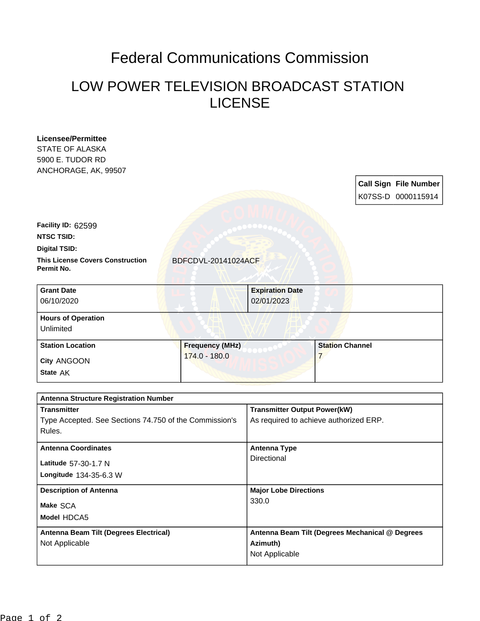## Federal Communications Commission

## LOW POWER TELEVISION BROADCAST STATION LICENSE

| Licensee/Permittee                                               |                            |                                        |                        |  |                              |
|------------------------------------------------------------------|----------------------------|----------------------------------------|------------------------|--|------------------------------|
| <b>STATE OF ALASKA</b>                                           |                            |                                        |                        |  |                              |
| 5900 E. TUDOR RD                                                 |                            |                                        |                        |  |                              |
| ANCHORAGE, AK, 99507                                             |                            |                                        |                        |  |                              |
|                                                                  |                            |                                        |                        |  | <b>Call Sign File Number</b> |
|                                                                  |                            |                                        |                        |  | K07SS-D 0000115914           |
|                                                                  |                            |                                        |                        |  |                              |
| Facility ID: 62599                                               |                            |                                        |                        |  |                              |
| NTSC TSID:                                                       |                            |                                        |                        |  |                              |
| <b>Digital TSID:</b>                                             |                            |                                        |                        |  |                              |
| <b>This License Covers Construction</b><br>Permit No.            | <b>BDFCDVL-20141024ACF</b> |                                        |                        |  |                              |
| <b>Grant Date</b>                                                |                            | <b>Expiration Date</b>                 |                        |  |                              |
| 06/10/2020                                                       |                            | 02/01/2023                             |                        |  |                              |
| <b>Hours of Operation</b>                                        |                            |                                        |                        |  |                              |
| Unlimited                                                        |                            |                                        |                        |  |                              |
| <b>Station Location</b>                                          | <b>Frequency (MHz)</b>     |                                        | <b>Station Channel</b> |  |                              |
| City ANGOON                                                      | 174.0 - 180.0              |                                        | $\overline{7}$         |  |                              |
| State AK                                                         |                            |                                        |                        |  |                              |
|                                                                  |                            |                                        |                        |  |                              |
| <b>Antenna Structure Registration Number</b>                     |                            |                                        |                        |  |                              |
| <b>Transmitter</b>                                               |                            | <b>Transmitter Output Power(kW)</b>    |                        |  |                              |
| Type Accepted. See Sections 74.750 of the Commission's<br>Rules. |                            | As required to achieve authorized ERP. |                        |  |                              |
|                                                                  |                            |                                        |                        |  |                              |
| <b>Antenna Coordinates</b>                                       |                            | <b>Antenna Type</b>                    |                        |  |                              |
| Latitude 57-30-1.7 N                                             |                            | Directional                            |                        |  |                              |
| Longitude 134-35-6.3 W                                           |                            |                                        |                        |  |                              |
| <b>Description of Antenna</b>                                    |                            | <b>Major Lobe Directions</b>           |                        |  |                              |
| Make SCA                                                         |                            | 330.0                                  |                        |  |                              |
| Model HDCA5                                                      |                            |                                        |                        |  |                              |

**Azimuth)** Not Applicable

**Antenna Beam Tilt (Degrees Mechanical @ Degrees** 

**Antenna Beam Tilt (Degrees Electrical)**

Not Applicable